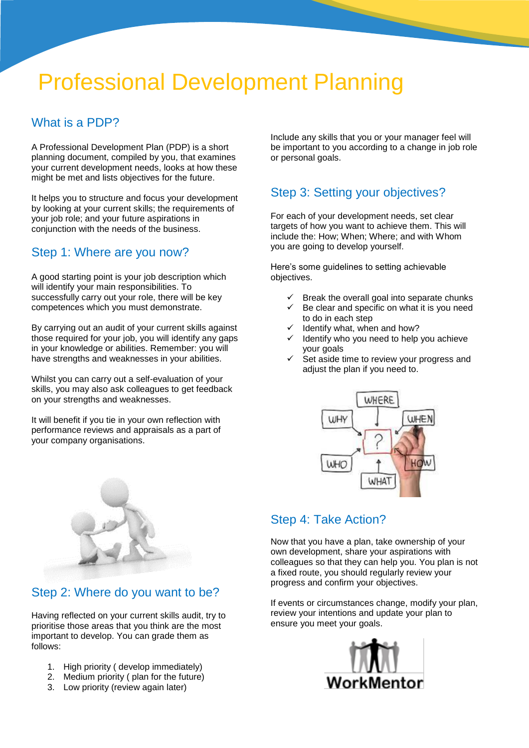# Professional Development Planning

#### What is a PDP?

A Professional Development Plan (PDP) is a short planning document, compiled by you, that examines your current development needs, looks at how these might be met and lists objectives for the future.

It helps you to structure and focus your development by looking at your current skills; the requirements of your job role; and your future aspirations in conjunction with the needs of the business.

#### Step 1: Where are you now?

A good starting point is your job description which will identify your main responsibilities. To successfully carry out your role, there will be key competences which you must demonstrate.

By carrying out an audit of your current skills against those required for your job, you will identify any gaps in your knowledge or abilities. Remember: you will have strengths and weaknesses in your abilities.

Whilst you can carry out a self-evaluation of your skills, you may also ask colleagues to get feedback on your strengths and weaknesses.

It will benefit if you tie in your own reflection with performance reviews and appraisals as a part of your company organisations.



#### Step 2: Where do you want to be?

Having reflected on your current skills audit, try to prioritise those areas that you think are the most important to develop. You can grade them as follows:

- 1. High priority ( develop immediately)
- 2. Medium priority ( plan for the future)
- 3. Low priority (review again later)

Include any skills that you or your manager feel will be important to you according to a change in job role or personal goals.

## Step 3: Setting your objectives?

For each of your development needs, set clear targets of how you want to achieve them. This will include the: How; When; Where; and with Whom you are going to develop yourself.

Here's some guidelines to setting achievable objectives.

- Break the overall goal into separate chunks
- Be clear and specific on what it is you need to do in each step
- Identify what, when and how?
- Identify who you need to help you achieve your goals
- Set aside time to review your progress and adjust the plan if you need to.



### Step 4: Take Action?

Now that you have a plan, take ownership of your own development, share your aspirations with colleagues so that they can help you. You plan is not a fixed route, you should regularly review your progress and confirm your objectives.

If events or circumstances change, modify your plan, review your intentions and update your plan to ensure you meet your goals.